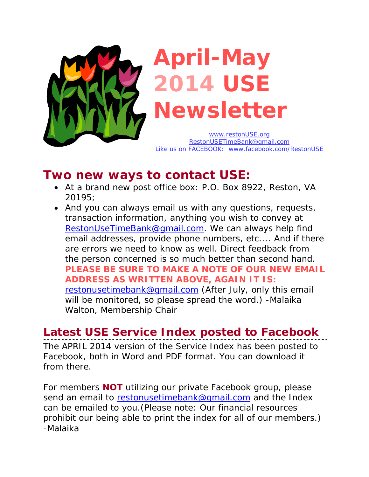

**April-May 2014 USE Newsletter** 

*www.restonUSE.org RestonUSETimeBank@gmail.com Like us on FACEBOOK: www.facebook.com/RestonUSE*

# **Two new ways to contact USE:**

- At a brand new post office box: P.O. Box 8922, Reston, VA 20195;
- And you can always email us with any questions, requests, transaction information, anything you wish to convey at RestonUseTimeBank@gmail.com. We can always help find email addresses, provide phone numbers, etc.... And if there are errors we need to know as well. Direct feedback from the person concerned is so much better than second hand. **PLEASE BE SURE TO MAKE A NOTE OF OUR NEW EMAIL ADDRESS AS WRITTEN ABOVE, AGAIN IT IS:**  restonusetimebank@gmail.com *(After July, only this email will be monitored, so please spread the word.)* -*Malaika Walton, Membership Chair*

# **Latest USE Service Index posted to Facebook**

The APRIL 2014 version of the Service Index has been posted to Facebook, both in Word and PDF format. You can download it from there.

For members **NOT** utilizing our private Facebook group, please send an email to restonusetimebank@gmail.com and the Index can be emailed to you.(Please note: Our financial resources prohibit our being able to print the index for all of our members.) *-Malaika*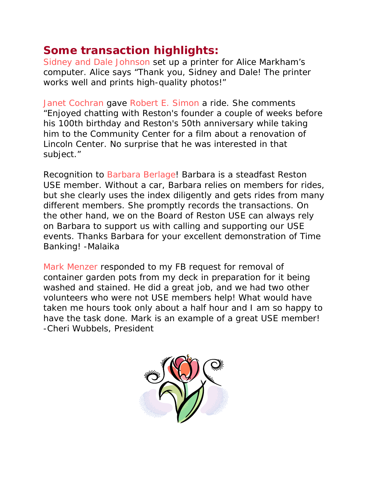# **Some transaction highlights:**

Sidney and Dale Johnson set up a printer for Alice Markham's computer. Alice says "Thank you, Sidney and Dale! The printer works well and prints high-quality photos!"

Janet Cochran gave Robert E. Simon a ride. She comments "Enjoyed chatting with Reston's founder a couple of weeks before his 100th birthday and Reston's 50th anniversary while taking him to the Community Center for a film about a renovation of Lincoln Center. No surprise that he was interested in that subject."

Recognition to Barbara Berlage! Barbara is a steadfast Reston USE member. Without a car, Barbara relies on members for rides, but she clearly uses the index diligently and gets rides from many different members. She promptly records the transactions. On the other hand, we on the Board of Reston USE can always rely on Barbara to support us with calling and supporting our USE events. Thanks Barbara for your excellent demonstration of Time Banking! *-Malaika* 

Mark Menzer responded to my FB request for removal of container garden pots from my deck in preparation for it being washed and stained. He did a great job, and we had two other volunteers who were not USE members help! What would have taken me hours took only about a half hour and I am so happy to have the task done. Mark is an example of a great USE member! -*Cheri Wubbels, President* 

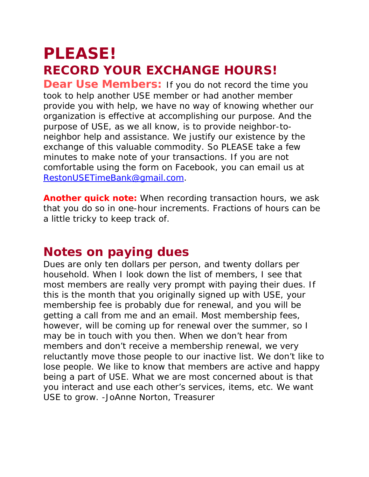# *PLEASE! RECORD YOUR EXCHANGE HOURS!*

**Dear Use Members:** If you do not record the time you took to help another USE member or had another member provide you with help, we have no way of knowing whether our organization is effective at accomplishing our purpose. And the purpose of USE, as we all know, is to provide neighbor-toneighbor help and assistance. We justify our existence by the exchange of this valuable commodity. So PLEASE take a few minutes to make note of your transactions. If you are not comfortable using the form on Facebook, you can email us at *RestonUSETimeBank@gmail.com.* 

**Another quick note:** When recording transaction hours, we ask that you do so in one-hour increments. Fractions of hours can be a little tricky to keep track of.

# **Notes on paying dues**

Dues are only ten dollars per person, and twenty dollars per household. When I look down the list of members, I see that most members are really very prompt with paying their dues. If this is the month that you originally signed up with USE, your membership fee is probably due for renewal, and you will be getting a call from me and an email. Most membership fees, however, will be coming up for renewal over the summer, so I may be in touch with you then. When we don't hear from members and don't receive a membership renewal, we very reluctantly move those people to our inactive list. We don't like to lose people. We like to know that members are active and happy being a part of USE. What we are most concerned about is that you interact and use each other's services, items, etc. We want USE to grow. *-JoAnne Norton, Treasurer*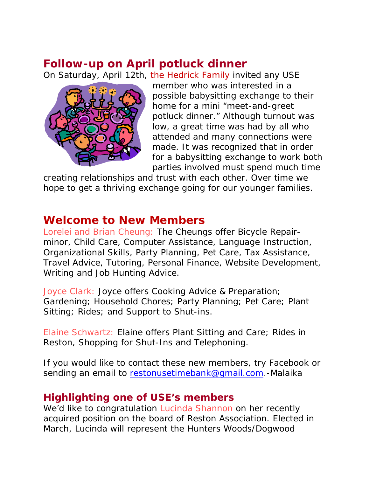# **Follow-up on April potluck dinner**

On Saturday, April 12th, the Hedrick Family invited any USE



member who was interested in a possible babysitting exchange to their home for a mini "meet-and-greet potluck dinner." Although turnout was low, a great time was had by all who attended and many connections were made. It was recognized that in order for a babysitting exchange to work both parties involved must spend much time

creating relationships and trust with each other. Over time we hope to get a thriving exchange going for our younger families.

## **Welcome to New Members**

Lorelei and Brian Cheung: The Cheungs offer Bicycle Repairminor, Child Care, Computer Assistance, Language Instruction, Organizational Skills, Party Planning, Pet Care, Tax Assistance, Travel Advice, Tutoring, Personal Finance, Website Development, Writing and Job Hunting Advice.

Joyce Clark: Joyce offers Cooking Advice & Preparation; Gardening; Household Chores; Party Planning; Pet Care; Plant Sitting; Rides; and Support to Shut-ins.

Elaine Schwartz: Elaine offers Plant Sitting and Care; Rides in Reston, Shopping for Shut-Ins and Telephoning.

If you would like to contact these new members, try Facebook or sending an email to restonusetimebank@gmail.com. *-Malaika* 

### **Highlighting one of USE's members**

We'd like to congratulation Lucinda Shannon on her recently acquired position on the board of Reston Association. Elected in March, Lucinda will represent the Hunters Woods/Dogwood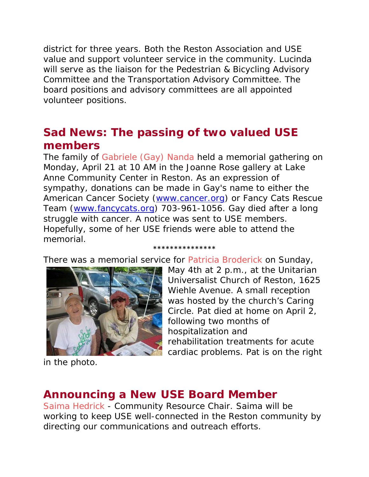district for three years. Both the Reston Association and USE value and support volunteer service in the community. Lucinda will serve as the liaison for the Pedestrian & Bicycling Advisory Committee and the Transportation Advisory Committee. The board positions and advisory committees are all appointed volunteer positions.

# **Sad News: The passing of two valued USE members**

The family of Gabriele (Gay) Nanda held a memorial gathering on Monday, April 21 at 10 AM in the Joanne Rose gallery at Lake Anne Community Center in Reston. As an expression of sympathy, donations can be made in Gay's name to either the American Cancer Society (www.cancer.org) or Fancy Cats Rescue Team (www.fancycats.org) 703-961-1056. Gay died after a long struggle with cancer. A notice was sent to USE members. Hopefully, some of her USE friends were able to attend the memorial.

There was a memorial service for Patricia Broderick on Sunday,



#### \*\*\*\*\*\*\*\*\*\*\*\*\*\*\*

May 4th at 2 p.m., at the Unitarian Universalist Church of Reston, 1625 Wiehle Avenue. A small reception was hosted by the church's Caring Circle. Pat died at home on April 2, following two months of hospitalization and rehabilitation treatments for acute cardiac problems. Pat is on the right

in the photo.

## **Announcing a New USE Board Member**

Saima Hedrick - Community Resource Chair. Saima will be working to keep USE well-connected in the Reston community by directing our communications and outreach efforts.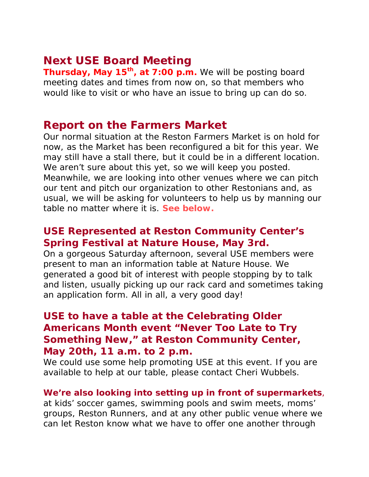## **Next USE Board Meeting**

**Thursday, May 15th, at 7:00 p.m.** We will be posting board meeting dates and times from now on, so that members who would like to visit or who have an issue to bring up can do so.

### **Report on the Farmers Market**

Our normal situation at the Reston Farmers Market is on hold for now, as the Market has been reconfigured a bit for this year. We may still have a stall there, but it could be in a different location. We aren't sure about this yet, so we will keep you posted. Meanwhile, we are looking into other venues where we can pitch our tent and pitch our organization to other Restonians and, as usual, we will be asking for volunteers to help us by manning our table no matter where it is. **See below.**

### **USE Represented at Reston Community Center's Spring Festival at Nature House, May 3rd.**

On a gorgeous Saturday afternoon, several USE members were present to man an information table at Nature House. We generated a good bit of interest with people stopping by to talk and listen, usually picking up our rack card and sometimes taking an application form. All in all, a very good day!

## **USE to have a table at the Celebrating Older Americans Month event "Never Too Late to Try Something New," at Reston Community Center, May 20th, 11 a.m. to 2 p.m.**

We could use some help promoting USE at this event. If you are available to help at our table, please contact Cheri Wubbels.

### **We're also looking into setting up in front of supermarkets**,

at kids' soccer games, swimming pools and swim meets, moms' groups, Reston Runners, and at any other public venue where we can let Reston know what we have to offer one another through